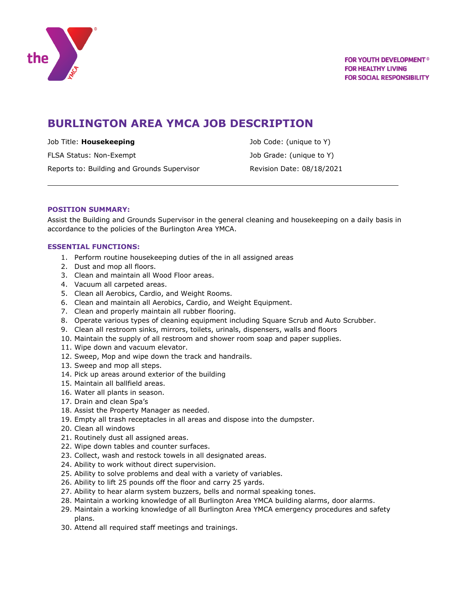

# **BURLINGTON AREA YMCA JOB DESCRIPTION**

FLSA Status: Non-Exempt **Internal Status:** Job Grade: (unique to Y) Reports to: Building and Grounds Supervisor **Revision Date: 08/18/2021** 

Job Title: **Housekeeping** Job Code: (unique to Y)

## **POSITION SUMMARY:**

Assist the Building and Grounds Supervisor in the general cleaning and housekeeping on a daily basis in accordance to the policies of the Burlington Area YMCA.

## **ESSENTIAL FUNCTIONS:**

- 1. Perform routine housekeeping duties of the in all assigned areas
- 2. Dust and mop all floors.
- 3. Clean and maintain all Wood Floor areas.
- 4. Vacuum all carpeted areas.
- 5. Clean all Aerobics, Cardio, and Weight Rooms.
- 6. Clean and maintain all Aerobics, Cardio, and Weight Equipment.
- 7. Clean and properly maintain all rubber flooring.
- 8. Operate various types of cleaning equipment including Square Scrub and Auto Scrubber.
- 9. Clean all restroom sinks, mirrors, toilets, urinals, dispensers, walls and floors
- 10. Maintain the supply of all restroom and shower room soap and paper supplies.
- 11. Wipe down and vacuum elevator.
- 12. Sweep, Mop and wipe down the track and handrails.
- 13. Sweep and mop all steps.
- 14. Pick up areas around exterior of the building
- 15. Maintain all ballfield areas.
- 16. Water all plants in season.
- 17. Drain and clean Spa's
- 18. Assist the Property Manager as needed.
- 19. Empty all trash receptacles in all areas and dispose into the dumpster.
- 20. Clean all windows
- 21. Routinely dust all assigned areas.
- 22. Wipe down tables and counter surfaces.
- 23. Collect, wash and restock towels in all designated areas.
- 24. Ability to work without direct supervision.
- 25. Ability to solve problems and deal with a variety of variables.
- 26. Ability to lift 25 pounds off the floor and carry 25 yards.
- 27. Ability to hear alarm system buzzers, bells and normal speaking tones.
- 28. Maintain a working knowledge of all Burlington Area YMCA building alarms, door alarms.
- 29. Maintain a working knowledge of all Burlington Area YMCA emergency procedures and safety plans.
- 30. Attend all required staff meetings and trainings.